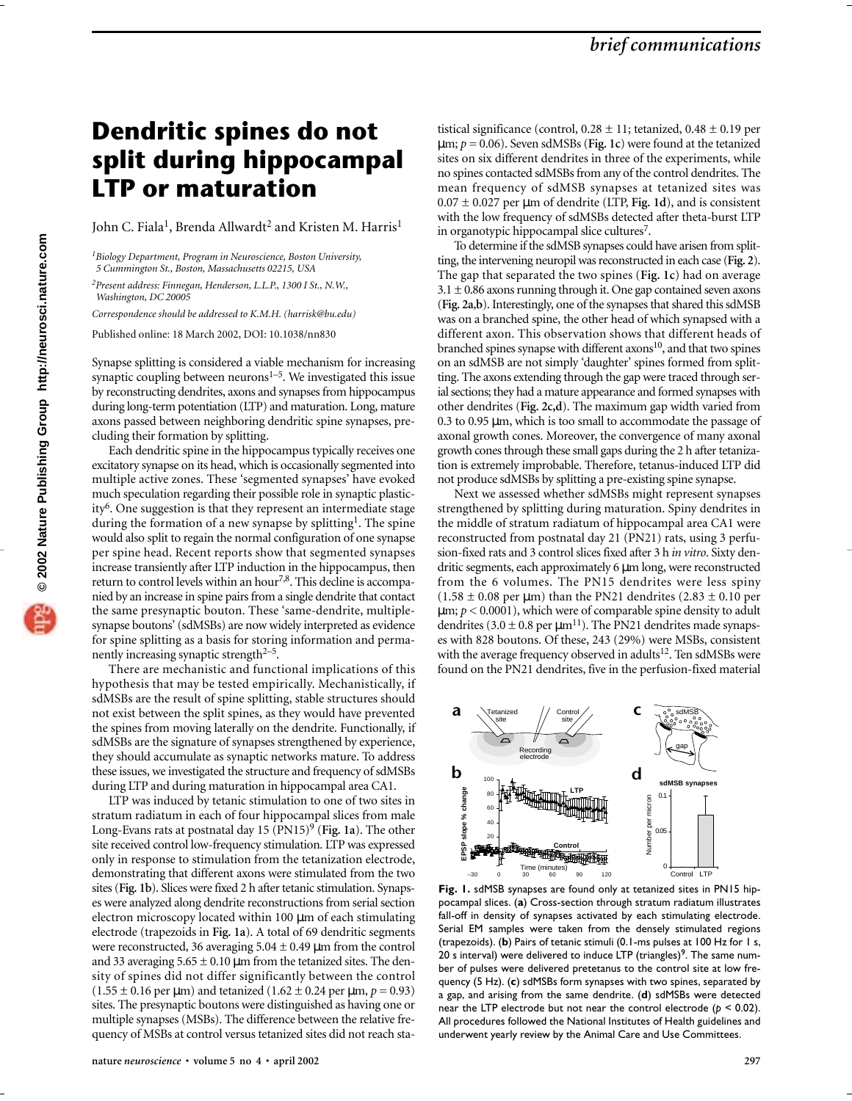## **Dendritic spines do not split during hippocampal LTP or maturation**

John C. Fiala<sup>1</sup>, Brenda Allwardt<sup>2</sup> and Kristen M. Harris<sup>1</sup>

*1Biology Department, Program in Neuroscience, Boston University, 5 Cummington St., Boston, Massachusetts 02215, USA*

*2Present address: Finnegan, Henderson, L.L.P., 1300 I St., N.W., Washington, DC 20005*

*Correspondence should be addressed to K.M.H. (harrisk@bu.edu)*

Published online: 18 March 2002, DOI: 10.1038/nn830

Synapse splitting is considered a viable mechanism for increasing synaptic coupling between neurons $1-5$ . We investigated this issue by reconstructing dendrites, axons and synapses from hippocampus during long-term potentiation (LTP) and maturation. Long, mature axons passed between neighboring dendritic spine synapses, precluding their formation by splitting.

Each dendritic spine in the hippocampus typically receives one excitatory synapse on its head, which is occasionally segmented into multiple active zones. These 'segmented synapses' have evoked much speculation regarding their possible role in synaptic plasticity<sup>6</sup>. One suggestion is that they represent an intermediate stage during the formation of a new synapse by splitting<sup>1</sup>. The spine would also split to regain the normal configuration of one synapse per spine head. Recent reports show that segmented synapses increase transiently after LTP induction in the hippocampus, then return to control levels within an hour<sup>7,8</sup>. This decline is accompanied by an increase in spine pairs from a single dendrite that contact the same presynaptic bouton. These 'same-dendrite, multiplesynapse boutons' (sdMSBs) are now widely interpreted as evidence for spine splitting as a basis for storing information and permanently increasing synaptic strength $2-5$ .

There are mechanistic and functional implications of this hypothesis that may be tested empirically. Mechanistically, if sdMSBs are the result of spine splitting, stable structures should not exist between the split spines, as they would have prevented the spines from moving laterally on the dendrite. Functionally, if sdMSBs are the signature of synapses strengthened by experience, they should accumulate as synaptic networks mature. To address these issues, we investigated the structure and frequency of sdMSBs during LTP and during maturation in hippocampal area CA1.

LTP was induced by tetanic stimulation to one of two sites in stratum radiatum in each of four hippocampal slices from male Long-Evans rats at postnatal day 15 (PN15)9 (**Fig. 1a**). The other site received control low-frequency stimulation. LTP was expressed only in response to stimulation from the tetanization electrode, demonstrating that different axons were stimulated from the two sites (**Fig. 1b**). Slices were fixed 2 h after tetanic stimulation. Synapses were analyzed along dendrite reconstructions from serial section electron microscopy located within 100 µm of each stimulating electrode (trapezoids in **Fig. 1a**). A total of 69 dendritic segments were reconstructed, 36 averaging  $5.04 \pm 0.49$  µm from the control and 33 averaging  $5.65 \pm 0.10 \,\mu m$  from the tetanized sites. The density of spines did not differ significantly between the control  $(1.55 \pm 0.16 \text{ per }\mu\text{m})$  and tetanized  $(1.62 \pm 0.24 \text{ per }\mu\text{m}, p = 0.93)$ sites. The presynaptic boutons were distinguished as having one or multiple synapses (MSBs). The difference between the relative frequency of MSBs at control versus tetanized sites did not reach statistical significance (control,  $0.28 \pm 11$ ; tetanized,  $0.48 \pm 0.19$  per µm; *p* = 0.06). Seven sdMSBs (**Fig. 1c**) were found at the tetanized sites on six different dendrites in three of the experiments, while no spines contacted sdMSBs from any of the control dendrites. The mean frequency of sdMSB synapses at tetanized sites was  $0.07 \pm 0.027$  per  $\mu$ m of dendrite (LTP, Fig. 1d), and is consistent with the low frequency of sdMSBs detected after theta-burst LTP in organotypic hippocampal slice cultures<sup>7</sup>.

To determine if the sdMSB synapses could have arisen from splitting, the intervening neuropil was reconstructed in each case (**Fig. 2**). The gap that separated the two spines (**Fig. 1c**) had on average  $3.1 \pm 0.86$  axons running through it. One gap contained seven axons (**Fig. 2a**,**b**). Interestingly, one of the synapses that shared this sdMSB was on a branched spine, the other head of which synapsed with a different axon. This observation shows that different heads of branched spines synapse with different  $axons<sup>10</sup>$ , and that two spines on an sdMSB are not simply 'daughter' spines formed from splitting. The axons extending through the gap were traced through serial sections; they had a mature appearance and formed synapses with other dendrites (**Fig. 2c,d**). The maximum gap width varied from 0.3 to 0.95 µm, which is too small to accommodate the passage of axonal growth cones. Moreover, the convergence of many axonal growth cones through these small gaps during the 2 h after tetanization is extremely improbable. Therefore, tetanus-induced LTP did not produce sdMSBs by splitting a pre-existing spine synapse.

Next we assessed whether sdMSBs might represent synapses strengthened by splitting during maturation. Spiny dendrites in the middle of stratum radiatum of hippocampal area CA1 were reconstructed from postnatal day 21 (PN21) rats, using 3 perfusion-fixed rats and 3 control slices fixed after 3 h *in vitro*. Sixty dendritic segments, each approximately 6 µm long, were reconstructed from the 6 volumes. The PN15 dendrites were less spiny  $(1.58 \pm 0.08 \text{ per } \mu \text{m})$  than the PN21 dendrites  $(2.83 \pm 0.10 \text{ per } \mu \text{m})$  $\mu$ m;  $p < 0.0001$ ), which were of comparable spine density to adult dendrites (3.0  $\pm$  0.8 per  $\mu$ m<sup>11</sup>). The PN21 dendrites made synapses with 828 boutons. Of these, 243 (29%) were MSBs, consistent with the average frequency observed in adults<sup>12</sup>. Ten sdMSBs were found on the PN21 dendrites, five in the perfusion-fixed material



**Fig. 1.** sdMSB synapses are found only at tetanized sites in PN15 hippocampal slices. (**a**) Cross-section through stratum radiatum illustrates fall-off in density of synapses activated by each stimulating electrode. Serial EM samples were taken from the densely stimulated regions (trapezoids). (**b**) Pairs of tetanic stimuli (0.1-ms pulses at 100 Hz for 1 s, 20 s interval) were delivered to induce LTP (triangles)<sup>9</sup>. The same number of pulses were delivered pretetanus to the control site at low frequency (5 Hz). (**c**) sdMSBs form synapses with two spines, separated by a gap, and arising from the same dendrite. (**d**) sdMSBs were detected near the LTP electrode but not near the control electrode (*p* < 0.02). All procedures followed the National Institutes of Health guidelines and underwent yearly review by the Animal Care and Use Committees.